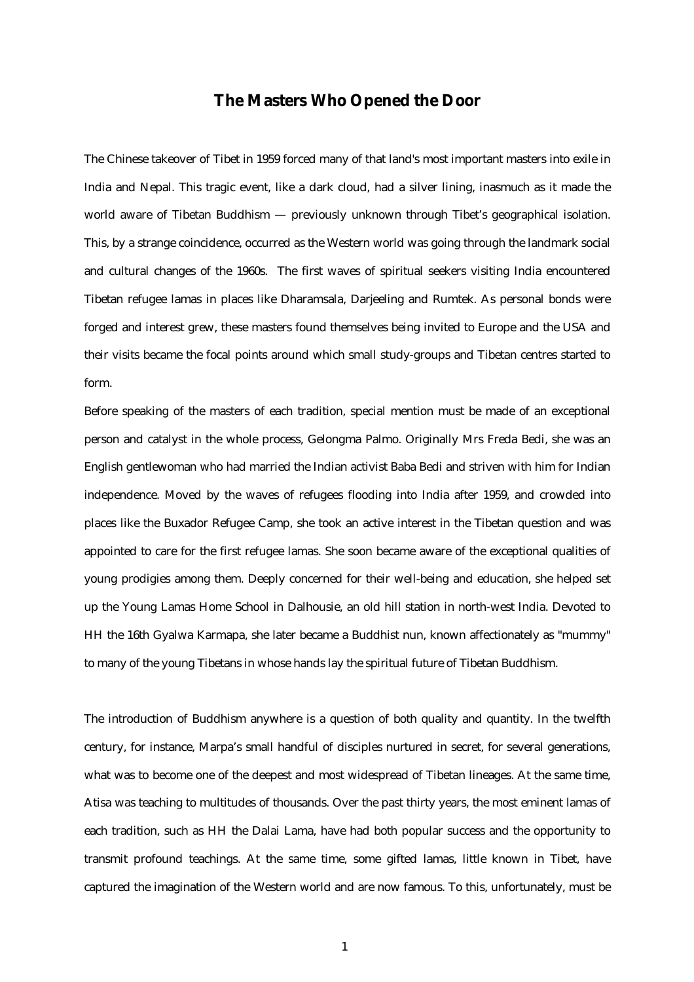# **The Masters Who Opened the Door**

The Chinese takeover of Tibet in 1959 forced many of that land's most important masters into exile in India and Nepal. This tragic event, like a dark cloud, had a silver lining, inasmuch as it made the world aware of Tibetan Buddhism — previously unknown through Tibet's geographical isolation. This, by a strange coincidence, occurred as the Western world was going through the landmark social and cultural changes of the 1960s. The first waves of spiritual seekers visiting India encountered Tibetan refugee lamas in places like Dharamsala, Darjeeling and Rumtek. As personal bonds were forged and interest grew, these masters found themselves being invited to Europe and the USA and their visits became the focal points around which small study-groups and Tibetan centres started to form.

Before speaking of the masters of each tradition, special mention must be made of an exceptional person and catalyst in the whole process, Gelongma Palmo. Originally Mrs Freda Bedi, she was an English gentlewoman who had married the Indian activist Baba Bedi and striven with him for Indian independence. Moved by the waves of refugees flooding into India after 1959, and crowded into places like the Buxador Refugee Camp, she took an active interest in the Tibetan question and was appointed to care for the first refugee lamas. She soon became aware of the exceptional qualities of young prodigies among them. Deeply concerned for their well-being and education, she helped set up the Young Lamas Home School in Dalhousie, an old hill station in north-west India. Devoted to HH the 16th Gyalwa Karmapa, she later became a Buddhist nun, known affectionately as "mummy" to many of the young Tibetans in whose hands lay the spiritual future of Tibetan Buddhism.

The introduction of Buddhism anywhere is a question of both quality and quantity. In the twelfth century, for instance, Marpa's small handful of disciples nurtured in secret, for several generations, what was to become one of the deepest and most widespread of Tibetan lineages. At the same time, Atisa was teaching to multitudes of thousands. Over the past thirty years, the most eminent lamas of each tradition, such as HH the Dalai Lama, have had both popular success and the opportunity to transmit profound teachings. At the same time, some gifted lamas, little known in Tibet, have captured the imagination of the Western world and are now famous. To this, unfortunately, must be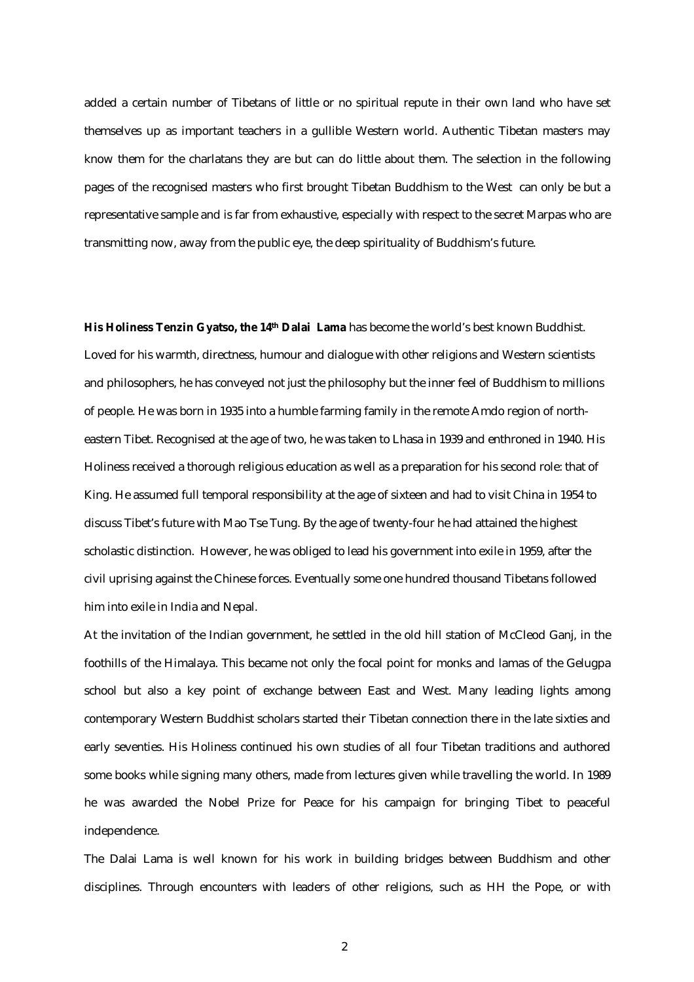added a certain number of Tibetans of little or no spiritual repute in their own land who have set themselves up as important teachers in a gullible Western world. Authentic Tibetan masters may know them for the charlatans they are but can do little about them. The selection in the following pages of the recognised masters who first brought Tibetan Buddhism to the West can only be but a representative sample and is far from exhaustive, especially with respect to the secret Marpas who are transmitting now, away from the public eye, the deep spirituality of Buddhism's future.

**His Holiness Tenzin Gyatso, the 14th Dalai Lama** has become the world's best known Buddhist. Loved for his warmth, directness, humour and dialogue with other religions and Western scientists and philosophers, he has conveyed not just the philosophy but the inner feel of Buddhism to millions of people. He was born in 1935 into a humble farming family in the remote Amdo region of northeastern Tibet. Recognised at the age of two, he was taken to Lhasa in 1939 and enthroned in 1940. His Holiness received a thorough religious education as well as a preparation for his second role: that of King. He assumed full temporal responsibility at the age of sixteen and had to visit China in 1954 to discuss Tibet's future with Mao Tse Tung. By the age of twenty-four he had attained the highest scholastic distinction. However, he was obliged to lead his government into exile in 1959, after the civil uprising against the Chinese forces. Eventually some one hundred thousand Tibetans followed him into exile in India and Nepal.

At the invitation of the Indian government, he settled in the old hill station of McCleod Ganj, in the foothills of the Himalaya. This became not only the focal point for monks and lamas of the Gelugpa school but also a key point of exchange between East and West. Many leading lights among contemporary Western Buddhist scholars started their Tibetan connection there in the late sixties and early seventies. His Holiness continued his own studies of all four Tibetan traditions and authored some books while signing many others, made from lectures given while travelling the world. In 1989 he was awarded the Nobel Prize for Peace for his campaign for bringing Tibet to peaceful independence.

The Dalai Lama is well known for his work in building bridges between Buddhism and other disciplines. Through encounters with leaders of other religions, such as HH the Pope, or with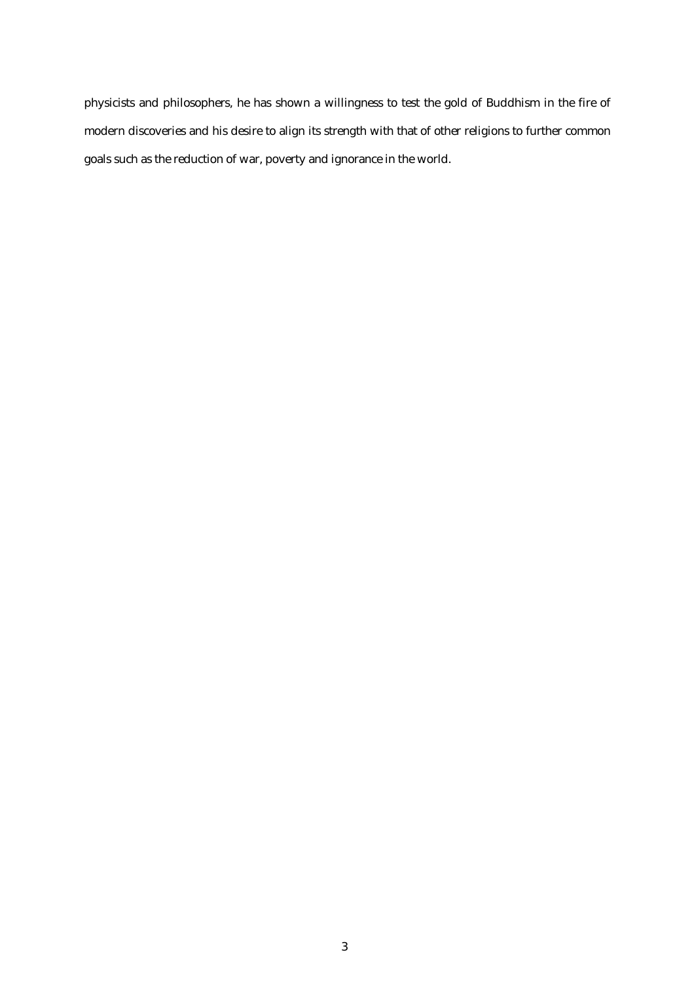physicists and philosophers, he has shown a willingness to test the gold of Buddhism in the fire of modern discoveries and his desire to align its strength with that of other religions to further common goals such as the reduction of war, poverty and ignorance in the world.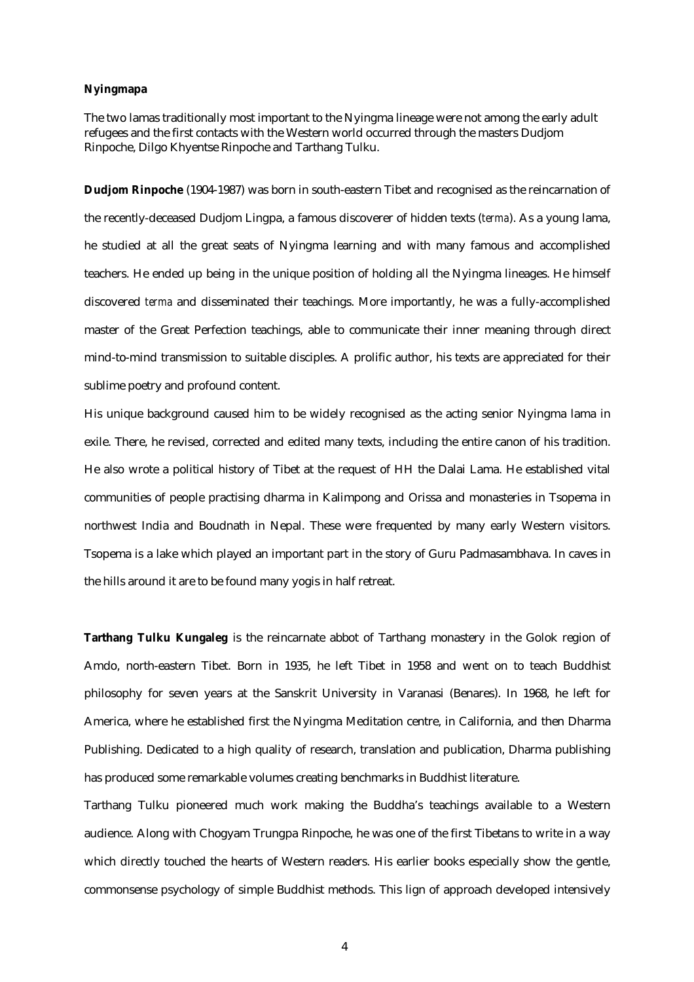### **Nyingmapa**

The two lamas traditionally most important to the Nyingma lineage were not among the early adult refugees and the first contacts with the Western world occurred through the masters Dudjom Rinpoche, Dilgo Khyentse Rinpoche and Tarthang Tulku.

**Dudjom Rinpoche** (1904-1987) was born in south-eastern Tibet and recognised as the reincarnation of the recently-deceased Dudjom Lingpa, a famous discoverer of hidden texts (*terma*). As a young lama, he studied at all the great seats of Nyingma learning and with many famous and accomplished teachers. He ended up being in the unique position of holding all the Nyingma lineages. He himself discovered *terma* and disseminated their teachings. More importantly, he was a fully-accomplished master of the Great Perfection teachings, able to communicate their inner meaning through direct mind-to-mind transmission to suitable disciples. A prolific author, his texts are appreciated for their sublime poetry and profound content.

His unique background caused him to be widely recognised as the acting senior Nyingma lama in exile. There, he revised, corrected and edited many texts, including the entire canon of his tradition. He also wrote a political history of Tibet at the request of HH the Dalai Lama. He established vital communities of people practising dharma in Kalimpong and Orissa and monasteries in Tsopema in northwest India and Boudnath in Nepal. These were frequented by many early Western visitors. Tsopema is a lake which played an important part in the story of Guru Padmasambhava. In caves in the hills around it are to be found many yogis in half retreat.

**Tarthang Tulku Kungaleg** is the reincarnate abbot of Tarthang monastery in the Golok region of Amdo, north-eastern Tibet. Born in 1935, he left Tibet in 1958 and went on to teach Buddhist philosophy for seven years at the Sanskrit University in Varanasi (Benares). In 1968, he left for America, where he established first the Nyingma Meditation centre, in California, and then Dharma Publishing. Dedicated to a high quality of research, translation and publication, Dharma publishing has produced some remarkable volumes creating benchmarks in Buddhist literature.

Tarthang Tulku pioneered much work making the Buddha's teachings available to a Western audience. Along with Chogyam Trungpa Rinpoche, he was one of the first Tibetans to write in a way which directly touched the hearts of Western readers. His earlier books especially show the gentle, commonsense psychology of simple Buddhist methods. This lign of approach developed intensively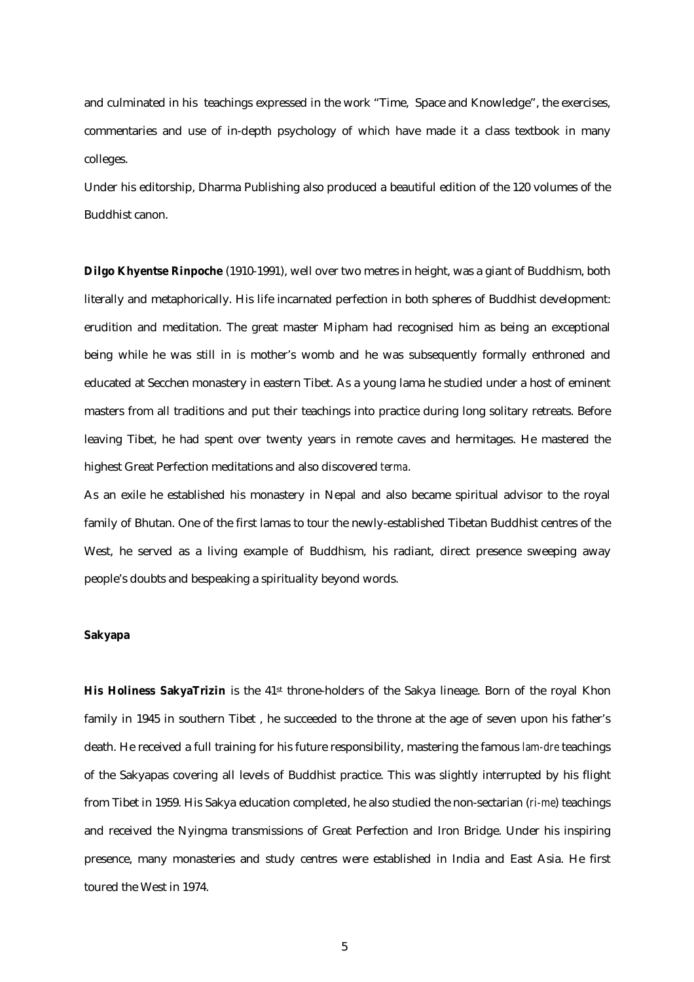and culminated in his teachings expressed in the work "Time, Space and Knowledge", the exercises, commentaries and use of in-depth psychology of which have made it a class textbook in many colleges.

Under his editorship, Dharma Publishing also produced a beautiful edition of the 120 volumes of the Buddhist canon.

**Dilgo Khyentse Rinpoche** (1910-1991), well over two metres in height, was a giant of Buddhism, both literally and metaphorically. His life incarnated perfection in both spheres of Buddhist development: erudition and meditation. The great master Mipham had recognised him as being an exceptional being while he was still in is mother's womb and he was subsequently formally enthroned and educated at Secchen monastery in eastern Tibet. As a young lama he studied under a host of eminent masters from all traditions and put their teachings into practice during long solitary retreats. Before leaving Tibet, he had spent over twenty years in remote caves and hermitages. He mastered the highest Great Perfection meditations and also discovered *terma*.

As an exile he established his monastery in Nepal and also became spiritual advisor to the royal family of Bhutan. One of the first lamas to tour the newly-established Tibetan Buddhist centres of the West, he served as a living example of Buddhism, his radiant, direct presence sweeping away people's doubts and bespeaking a spirituality beyond words.

## **Sakyapa**

His Holiness SakyaTrizin is the 41<sup>st</sup> throne-holders of the Sakya lineage. Born of the royal Khon family in 1945 in southern Tibet , he succeeded to the throne at the age of seven upon his father's death. He received a full training for his future responsibility, mastering the famous *lam-dre* teachings of the Sakyapas covering all levels of Buddhist practice. This was slightly interrupted by his flight from Tibet in 1959. His Sakya education completed, he also studied the non-sectarian (*ri-me*) teachings and received the Nyingma transmissions of Great Perfection and Iron Bridge. Under his inspiring presence, many monasteries and study centres were established in India and East Asia. He first toured the West in 1974.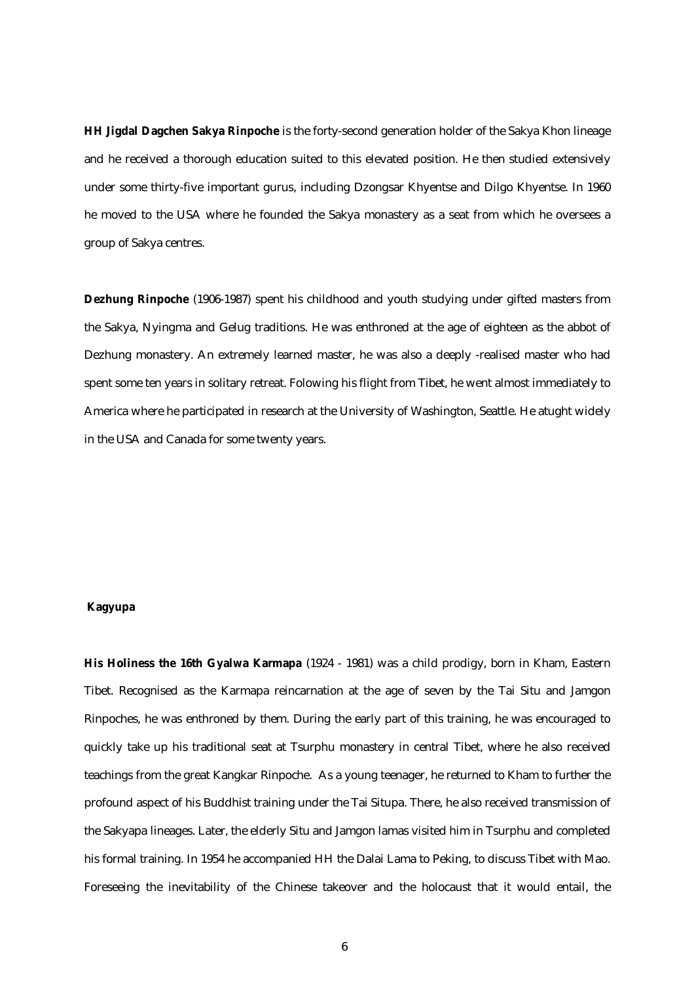**HH Jigdal Dagchen Sakya Rinpoche** is the forty-second generation holder of the Sakya Khon lineage and he received a thorough education suited to this elevated position. He then studied extensively under some thirty-five important gurus, including Dzongsar Khyentse and Dilgo Khyentse. In 1960 he moved to the USA where he founded the Sakya monastery as a seat from which he oversees a group of Sakya centres.

**Dezhung Rinpoche** (1906-1987) spent his childhood and youth studying under gifted masters from the Sakya, Nyingma and Gelug traditions. He was enthroned at the age of eighteen as the abbot of Dezhung monastery. An extremely learned master, he was also a deeply -realised master who had spent some ten years in solitary retreat. Folowing his flight from Tibet, he went almost immediately to America where he participated in research at the University of Washington, Seattle. He atught widely in the USA and Canada for some twenty years.

## **Kagyupa**

**His Holiness the 16th Gyalwa Karmapa** (1924 - 1981) was a child prodigy, born in Kham, Eastern Tibet. Recognised as the Karmapa reincarnation at the age of seven by the Tai Situ and Jamgon Rinpoches, he was enthroned by them. During the early part of this training, he was encouraged to quickly take up his traditional seat at Tsurphu monastery in central Tibet, where he also received teachings from the great Kangkar Rinpoche. As a young teenager, he returned to Kham to further the profound aspect of his Buddhist training under the Tai Situpa. There, he also received transmission of the Sakyapa lineages. Later, the elderly Situ and Jamgon lamas visited him in Tsurphu and completed his formal training. In 1954 he accompanied HH the Dalai Lama to Peking, to discuss Tibet with Mao. Foreseeing the inevitability of the Chinese takeover and the holocaust that it would entail, the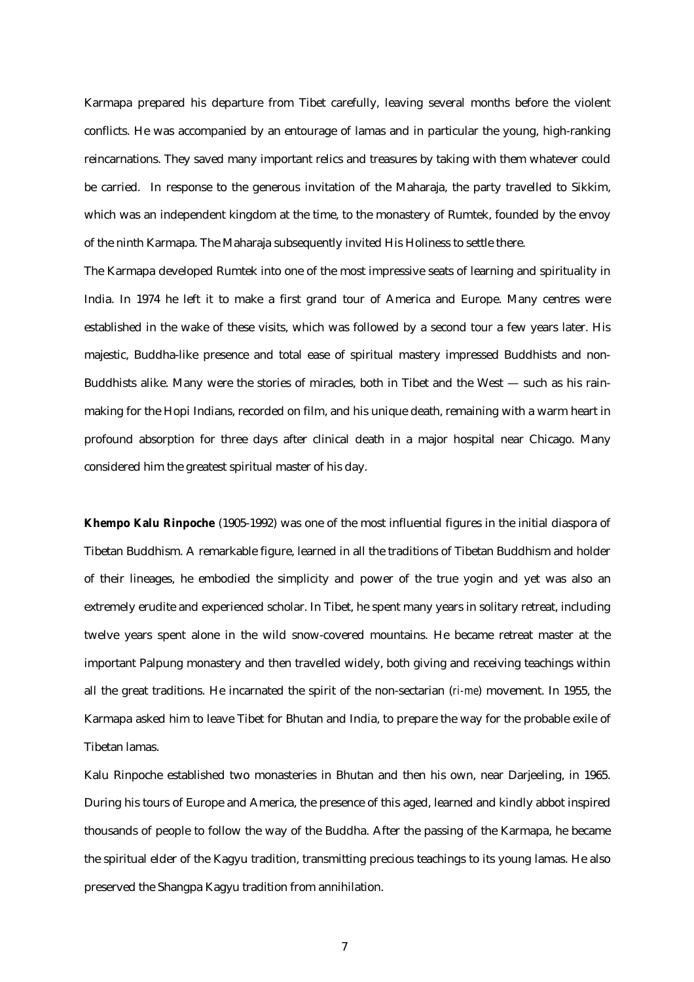Karmapa prepared his departure from Tibet carefully, leaving several months before the violent conflicts. He was accompanied by an entourage of lamas and in particular the young, high-ranking reincarnations. They saved many important relics and treasures by taking with them whatever could be carried. In response to the generous invitation of the Maharaja, the party travelled to Sikkim, which was an independent kingdom at the time, to the monastery of Rumtek, founded by the envoy of the ninth Karmapa. The Maharaja subsequently invited His Holiness to settle there.

The Karmapa developed Rumtek into one of the most impressive seats of learning and spirituality in India. In 1974 he left it to make a first grand tour of America and Europe. Many centres were established in the wake of these visits, which was followed by a second tour a few years later. His majestic, Buddha-like presence and total ease of spiritual mastery impressed Buddhists and non-Buddhists alike. Many were the stories of miracles, both in Tibet and the West  $-$  such as his rainmaking for the Hopi Indians, recorded on film, and his unique death, remaining with a warm heart in profound absorption for three days after clinical death in a major hospital near Chicago. Many considered him the greatest spiritual master of his day.

**Khempo Kalu Rinpoche** (1905-1992) was one of the most influential figures in the initial diaspora of Tibetan Buddhism. A remarkable figure, learned in all the traditions of Tibetan Buddhism and holder of their lineages, he embodied the simplicity and power of the true yogin and yet was also an extremely erudite and experienced scholar. In Tibet, he spent many years in solitary retreat, including twelve years spent alone in the wild snow-covered mountains. He became retreat master at the important Palpung monastery and then travelled widely, both giving and receiving teachings within all the great traditions. He incarnated the spirit of the non-sectarian (*ri-me*) movement. In 1955, the Karmapa asked him to leave Tibet for Bhutan and India, to prepare the way for the probable exile of Tibetan lamas.

Kalu Rinpoche established two monasteries in Bhutan and then his own, near Darjeeling, in 1965. During his tours of Europe and America, the presence of this aged, learned and kindly abbot inspired thousands of people to follow the way of the Buddha. After the passing of the Karmapa, he became the spiritual elder of the Kagyu tradition, transmitting precious teachings to its young lamas. He also preserved the Shangpa Kagyu tradition from annihilation.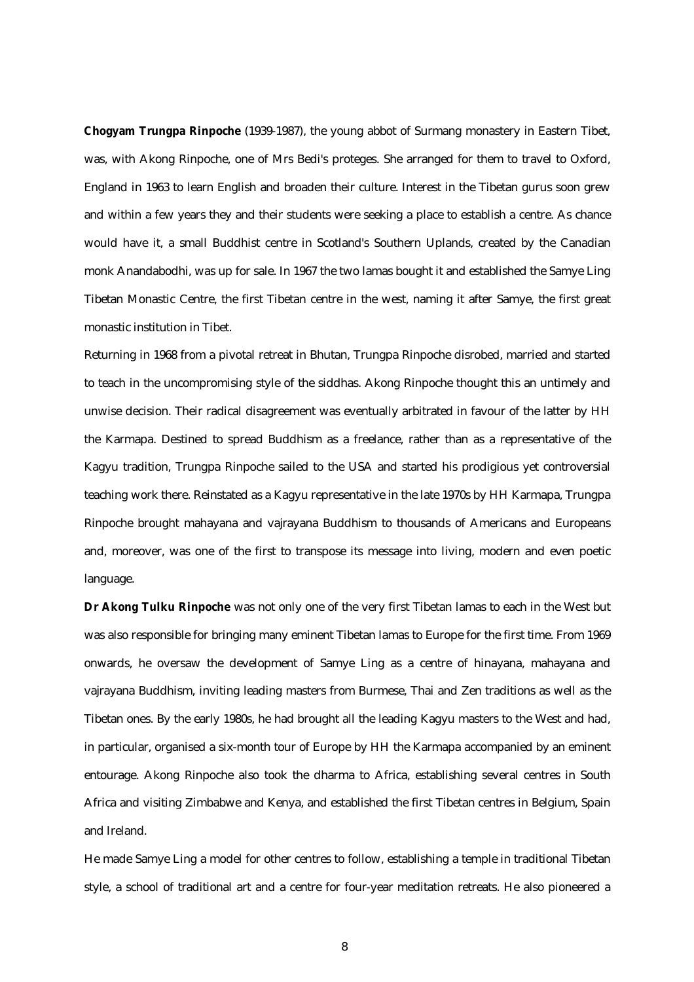**Chogyam Trungpa Rinpoche** (1939-1987), the young abbot of Surmang monastery in Eastern Tibet, was, with Akong Rinpoche, one of Mrs Bedi's proteges. She arranged for them to travel to Oxford, England in 1963 to learn English and broaden their culture. Interest in the Tibetan gurus soon grew and within a few years they and their students were seeking a place to establish a centre. As chance would have it, a small Buddhist centre in Scotland's Southern Uplands, created by the Canadian monk Anandabodhi, was up for sale. In 1967 the two lamas bought it and established the Samye Ling Tibetan Monastic Centre, the first Tibetan centre in the west, naming it after Samye, the first great monastic institution in Tibet.

Returning in 1968 from a pivotal retreat in Bhutan, Trungpa Rinpoche disrobed, married and started to teach in the uncompromising style of the siddhas. Akong Rinpoche thought this an untimely and unwise decision. Their radical disagreement was eventually arbitrated in favour of the latter by HH the Karmapa. Destined to spread Buddhism as a freelance, rather than as a representative of the Kagyu tradition, Trungpa Rinpoche sailed to the USA and started his prodigious yet controversial teaching work there. Reinstated as a Kagyu representative in the late 1970s by HH Karmapa, Trungpa Rinpoche brought mahayana and vajrayana Buddhism to thousands of Americans and Europeans and, moreover, was one of the first to transpose its message into living, modern and even poetic language.

**Dr Akong Tulku Rinpoche** was not only one of the very first Tibetan lamas to each in the West but was also responsible for bringing many eminent Tibetan lamas to Europe for the first time. From 1969 onwards, he oversaw the development of Samye Ling as a centre of hinayana, mahayana and vajrayana Buddhism, inviting leading masters from Burmese, Thai and Zen traditions as well as the Tibetan ones. By the early 1980s, he had brought all the leading Kagyu masters to the West and had, in particular, organised a six-month tour of Europe by HH the Karmapa accompanied by an eminent entourage. Akong Rinpoche also took the dharma to Africa, establishing several centres in South Africa and visiting Zimbabwe and Kenya, and established the first Tibetan centres in Belgium, Spain and Ireland.

He made Samye Ling a model for other centres to follow, establishing a temple in traditional Tibetan style, a school of traditional art and a centre for four-year meditation retreats. He also pioneered a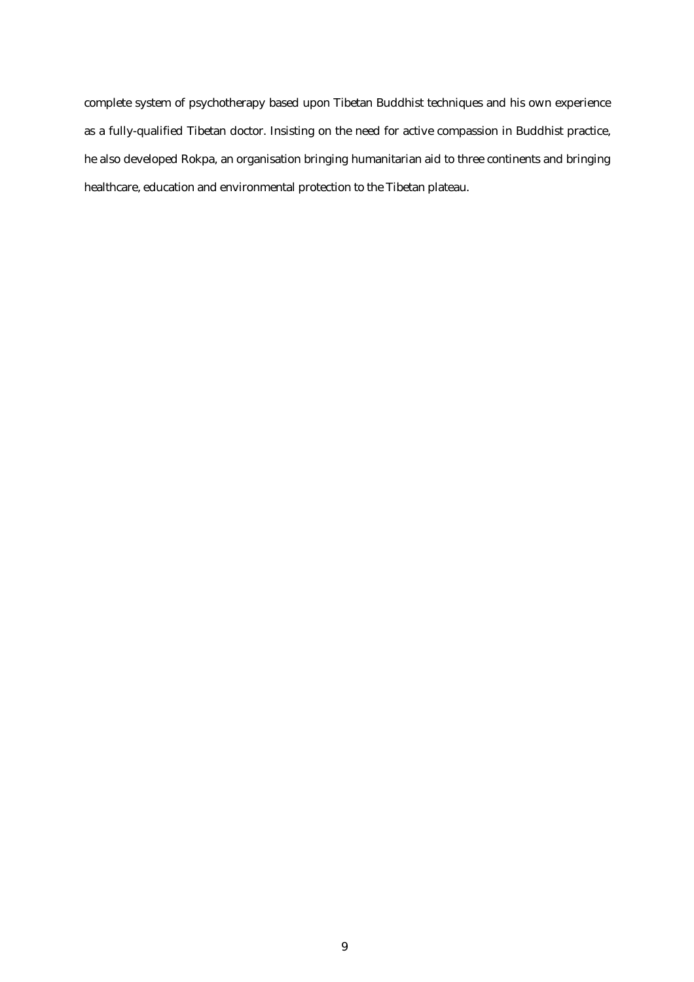complete system of psychotherapy based upon Tibetan Buddhist techniques and his own experience as a fully-qualified Tibetan doctor. Insisting on the need for active compassion in Buddhist practice, he also developed Rokpa, an organisation bringing humanitarian aid to three continents and bringing healthcare, education and environmental protection to the Tibetan plateau.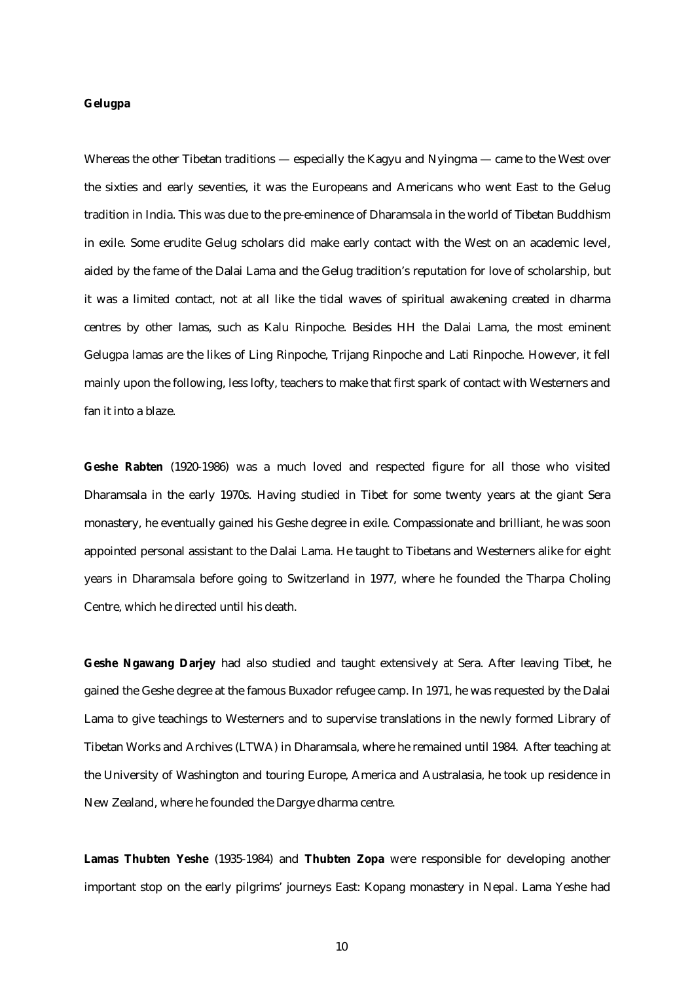#### **Gelugpa**

Whereas the other Tibetan traditions — especially the Kagyu and Nyingma — came to the West over the sixties and early seventies, it was the Europeans and Americans who went East to the Gelug tradition in India. This was due to the pre-eminence of Dharamsala in the world of Tibetan Buddhism in exile. Some erudite Gelug scholars did make early contact with the West on an academic level, aided by the fame of the Dalai Lama and the Gelug tradition's reputation for love of scholarship, but it was a limited contact, not at all like the tidal waves of spiritual awakening created in dharma centres by other lamas, such as Kalu Rinpoche. Besides HH the Dalai Lama, the most eminent Gelugpa lamas are the likes of Ling Rinpoche, Trijang Rinpoche and Lati Rinpoche. However, it fell mainly upon the following, less lofty, teachers to make that first spark of contact with Westerners and fan it into a blaze.

**Geshe Rabten** (1920-1986) was a much loved and respected figure for all those who visited Dharamsala in the early 1970s. Having studied in Tibet for some twenty years at the giant Sera monastery, he eventually gained his Geshe degree in exile. Compassionate and brilliant, he was soon appointed personal assistant to the Dalai Lama. He taught to Tibetans and Westerners alike for eight years in Dharamsala before going to Switzerland in 1977, where he founded the Tharpa Choling Centre, which he directed until his death.

**Geshe Ngawang Darjey** had also studied and taught extensively at Sera. After leaving Tibet, he gained the Geshe degree at the famous Buxador refugee camp. In 1971, he was requested by the Dalai Lama to give teachings to Westerners and to supervise translations in the newly formed Library of Tibetan Works and Archives (LTWA) in Dharamsala, where he remained until 1984. After teaching at the University of Washington and touring Europe, America and Australasia, he took up residence in New Zealand, where he founded the Dargye dharma centre.

**Lamas Thubten Yeshe** (1935-1984) and **Thubten Zopa** were responsible for developing another important stop on the early pilgrims' journeys East: Kopang monastery in Nepal. Lama Yeshe had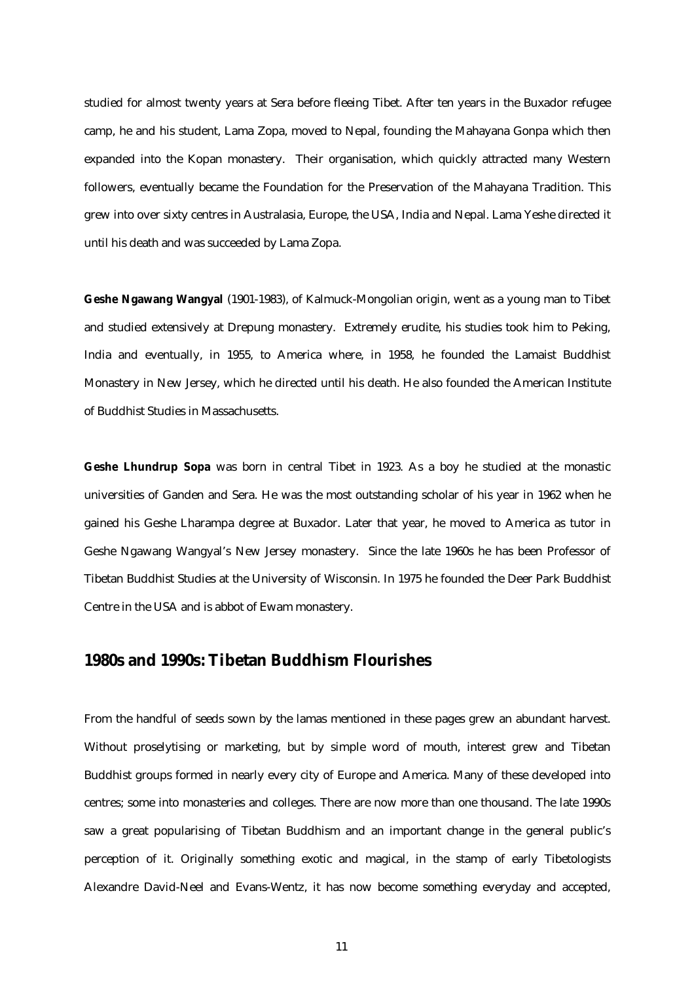studied for almost twenty years at Sera before fleeing Tibet. After ten years in the Buxador refugee camp, he and his student, Lama Zopa, moved to Nepal, founding the Mahayana Gonpa which then expanded into the Kopan monastery. Their organisation, which quickly attracted many Western followers, eventually became the Foundation for the Preservation of the Mahayana Tradition. This grew into over sixty centres in Australasia, Europe, the USA, India and Nepal. Lama Yeshe directed it until his death and was succeeded by Lama Zopa.

**Geshe Ngawang Wangyal** (1901-1983), of Kalmuck-Mongolian origin, went as a young man to Tibet and studied extensively at Drepung monastery. Extremely erudite, his studies took him to Peking, India and eventually, in 1955, to America where, in 1958, he founded the Lamaist Buddhist Monastery in New Jersey, which he directed until his death. He also founded the American Institute of Buddhist Studies in Massachusetts.

**Geshe Lhundrup Sopa** was born in central Tibet in 1923. As a boy he studied at the monastic universities of Ganden and Sera. He was the most outstanding scholar of his year in 1962 when he gained his Geshe Lharampa degree at Buxador. Later that year, he moved to America as tutor in Geshe Ngawang Wangyal's New Jersey monastery. Since the late 1960s he has been Professor of Tibetan Buddhist Studies at the University of Wisconsin. In 1975 he founded the Deer Park Buddhist Centre in the USA and is abbot of Ewam monastery.

# **1980s and 1990s: Tibetan Buddhism Flourishes**

From the handful of seeds sown by the lamas mentioned in these pages grew an abundant harvest. Without proselytising or marketing, but by simple word of mouth, interest grew and Tibetan Buddhist groups formed in nearly every city of Europe and America. Many of these developed into centres; some into monasteries and colleges. There are now more than one thousand. The late 1990s saw a great popularising of Tibetan Buddhism and an important change in the general public's perception of it. Originally something exotic and magical, in the stamp of early Tibetologists Alexandre David-Neel and Evans-Wentz, it has now become something everyday and accepted,